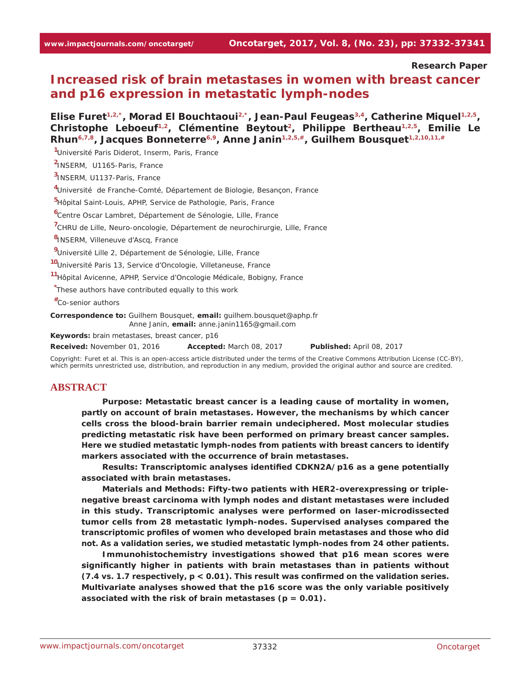**Research Paper**

# **Increased risk of brain metastases in women with breast cancer and p16 expression in metastatic lymph-nodes**

Elise Furet<sup>1,2,\*</sup>, Morad El Bouchtaoui<sup>2,\*</sup>, Jean-Paul Feugeas<sup>3,4</sup>, Catherine Miquel<sup>1,2,5</sup>, Christophe Leboeuf<sup>1,2</sup>, Clémentine Beytout<sup>2</sup>, Philippe Bertheau<sup>1,2,5</sup>, Emilie Le Rhun<sup>6,7,8</sup>, Jacques Bonneterre<sup>6,9</sup>, Anne Janin<sup>1,2,5,#</sup>, Guilhem Bousquet<sup>1,2,10,11,#</sup>

**1** Université Paris Diderot, Inserm, Paris, France

**2** INSERM, U1165-Paris, France

**3** INSERM, U1137-Paris, France

**4** Université de Franche-Comté, Département de Biologie, Besançon, France

**5** Hôpital Saint-Louis, APHP, Service de Pathologie, Paris, France

**6** Centre Oscar Lambret, Département de Sénologie, Lille, France

<sup>7</sup>CHRU de Lille, Neuro-oncologie, Département de neurochirurgie, Lille, France

**8** INSERM, Villeneuve d'Ascq, France

**9** Université Lille 2, Département de Sénologie, Lille, France

**10** Université Paris 13, Service d'Oncologie, Villetaneuse, France

**11** Hôpital Avicenne, APHP, Service d'Oncologie Médicale, Bobigny, France

**\*** These authors have contributed equally to this work

**#**Co-senior authors

**Correspondence to:** Guilhem Bousquet, **email:** guilhem.bousquet@aphp.fr Anne Janin, **email:** anne.janin1165@gmail.com

**Keywords:** *brain metastases, breast cancer, p16*

*Received: November 01, 2016 Accepted: March 08, 2017 Published: April 08, 2017*

Copyright: Furet et al. This is an open-access article distributed under the terms of the Creative Commons Attribution License (CC-BY), which permits unrestricted use, distribution, and reproduction in any medium, provided the original author and source are credited.

# **ABSTRACT**

**Purpose: Metastatic breast cancer is a leading cause of mortality in women, partly on account of brain metastases. However, the mechanisms by which cancer cells cross the blood-brain barrier remain undeciphered. Most molecular studies predicting metastatic risk have been performed on primary breast cancer samples. Here we studied metastatic lymph-nodes from patients with breast cancers to identify markers associated with the occurrence of brain metastases.**

**Results: Transcriptomic analyses identified** *CDKN2A/p16* **as a gene potentially associated with brain metastases.**

**Materials and Methods: Fifty-two patients with HER2-overexpressing or triplenegative breast carcinoma with lymph nodes and distant metastases were included in this study. Transcriptomic analyses were performed on laser-microdissected tumor cells from 28 metastatic lymph-nodes. Supervised analyses compared the transcriptomic profiles of women who developed brain metastases and those who did not. As a validation series, we studied metastatic lymph-nodes from 24 other patients.**

**Immunohistochemistry investigations showed that p16 mean scores were significantly higher in patients with brain metastases than in patients without (7.4 vs. 1.7 respectively,** *p* **< 0.01). This result was confirmed on the validation series. Multivariate analyses showed that the p16 score was the only variable positively associated with the risk of brain metastases (***p* **= 0.01).**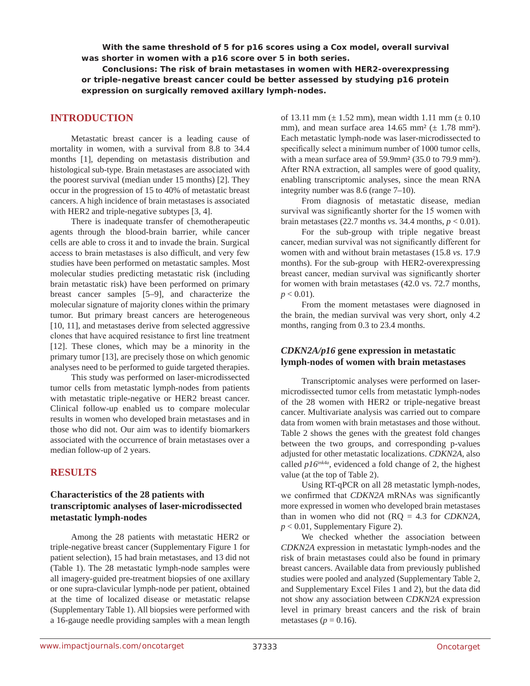**With the same threshold of 5 for p16 scores using a Cox model, overall survival was shorter in women with a p16 score over 5 in both series.**

**Conclusions: The risk of brain metastases in women with HER2-overexpressing or triple-negative breast cancer could be better assessed by studying p16 protein expression on surgically removed axillary lymph-nodes.**

# **INTRODUCTION**

Metastatic breast cancer is a leading cause of mortality in women, with a survival from 8.8 to 34.4 months [1], depending on metastasis distribution and histological sub-type. Brain metastases are associated with the poorest survival (median under 15 months) [2]. They occur in the progression of 15 to 40% of metastatic breast cancers. A high incidence of brain metastases is associated with HER2 and triple-negative subtypes [3, 4].

There is inadequate transfer of chemotherapeutic agents through the blood-brain barrier, while cancer cells are able to cross it and to invade the brain. Surgical access to brain metastases is also difficult, and very few studies have been performed on metastatic samples. Most molecular studies predicting metastatic risk (including brain metastatic risk) have been performed on primary breast cancer samples [5–9], and characterize the molecular signature of majority clones within the primary tumor. But primary breast cancers are heterogeneous [10, 11], and metastases derive from selected aggressive clones that have acquired resistance to first line treatment [12]. These clones, which may be a minority in the primary tumor [13], are precisely those on which genomic analyses need to be performed to guide targeted therapies.

This study was performed on laser-microdissected tumor cells from metastatic lymph-nodes from patients with metastatic triple-negative or HER2 breast cancer. Clinical follow-up enabled us to compare molecular results in women who developed brain metastases and in those who did not. Our aim was to identify biomarkers associated with the occurrence of brain metastases over a median follow-up of 2 years.

# **RESULTS**

# **Characteristics of the 28 patients with transcriptomic analyses of laser-microdissected metastatic lymph-nodes**

Among the 28 patients with metastatic HER2 or triple-negative breast cancer (Supplementary Figure 1 for patient selection), 15 had brain metastases, and 13 did not (Table 1). The 28 metastatic lymph-node samples were all imagery-guided pre-treatment biopsies of one axillary or one supra-clavicular lymph-node per patient, obtained at the time of localized disease or metastatic relapse (Supplementary Table 1). All biopsies were performed with a 16-gauge needle providing samples with a mean length

of 13.11 mm ( $\pm$  1.52 mm), mean width 1.11 mm ( $\pm$  0.10 mm), and mean surface area  $14.65$  mm<sup>2</sup> ( $\pm$  1.78 mm<sup>2</sup>). Each metastatic lymph-node was laser-microdissected to specifically select a minimum number of 1000 tumor cells, with a mean surface area of 59.9mm² (35.0 to 79.9 mm²). After RNA extraction, all samples were of good quality, enabling transcriptomic analyses, since the mean RNA integrity number was 8.6 (range 7–10).

From diagnosis of metastatic disease, median survival was significantly shorter for the 15 women with brain metastases (22.7 months *vs*. 34.4 months,  $p < 0.01$ ).

For the sub-group with triple negative breast cancer, median survival was not significantly different for women with and without brain metastases (15.8 *vs*. 17.9 months). For the sub-group with HER2-overexpressing breast cancer, median survival was significantly shorter for women with brain metastases (42.0 vs. 72.7 months,  $p < 0.01$ ).

From the moment metastases were diagnosed in the brain, the median survival was very short, only 4.2 months, ranging from 0.3 to 23.4 months.

# *CDKN2A/p16* **gene expression in metastatic lymph-nodes of women with brain metastases**

Transcriptomic analyses were performed on lasermicrodissected tumor cells from metastatic lymph-nodes of the 28 women with HER2 or triple-negative breast cancer. Multivariate analysis was carried out to compare data from women with brain metastases and those without. Table 2 shows the genes with the greatest fold changes between the two groups, and corresponding p-values adjusted for other metastatic localizations. *CDKN2A*, also called *p16ink4a*, evidenced a fold change of 2, the highest value (at the top of Table 2).

Using RT-qPCR on all 28 metastatic lymph-nodes, we confirmed that *CDKN2A* mRNAs was significantly more expressed in women who developed brain metastases than in women who did not (RQ = 4.3 for *CDKN2A*,  $p < 0.01$ , Supplementary Figure 2).

We checked whether the association between *CDKN2A* expression in metastatic lymph-nodes and the risk of brain metastases could also be found in primary breast cancers. Available data from previously published studies were pooled and analyzed (Supplementary Table 2, and Supplementary Excel Files 1 and 2), but the data did not show any association between *CDKN2A* expression level in primary breast cancers and the risk of brain metastases ( $p = 0.16$ ).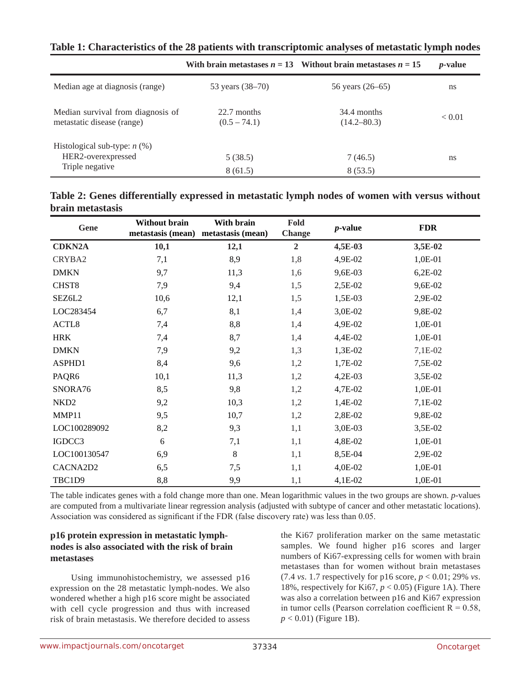|                                                                 |                               | With brain metastases $n = 13$ Without brain metastases $n = 15$ | <i>p</i> -value |
|-----------------------------------------------------------------|-------------------------------|------------------------------------------------------------------|-----------------|
| Median age at diagnosis (range)                                 | 53 years (38–70)              | 56 years (26–65)                                                 | ns              |
| Median survival from diagnosis of<br>metastatic disease (range) | 22.7 months<br>$(0.5 - 74.1)$ | 34.4 months<br>$(14.2 - 80.3)$                                   | < 0.01          |
| Histological sub-type: $n$ (%)<br>HER2-overexpressed            | 5(38.5)                       | 7(46.5)                                                          | ns              |
| Triple negative                                                 | 8(61.5)                       | 8(53.5)                                                          |                 |

**Table 1: Characteristics of the 28 patients with transcriptomic analyses of metastatic lymph nodes**

| Table 2: Genes differentially expressed in metastatic lymph nodes of women with versus without |  |  |  |
|------------------------------------------------------------------------------------------------|--|--|--|
| brain metastasis                                                                               |  |  |  |

| Gene              | Without brain | With brain<br>metastasis (mean) metastasis (mean) | Fold<br><b>Change</b> | $p$ -value | <b>FDR</b> |  |
|-------------------|---------------|---------------------------------------------------|-----------------------|------------|------------|--|
| <b>CDKN2A</b>     | 10,1          | 12,1                                              | $\overline{2}$        | 4,5E-03    | 3,5E-02    |  |
| CRYBA2            | 7,1           | 8,9                                               | 1,8                   | 4,9E-02    | 1,0E-01    |  |
| <b>DMKN</b>       | 9,7           | 11,3                                              | 1,6                   | 9,6E-03    | $6,2E-02$  |  |
| CHST <sub>8</sub> | 7,9           | 9,4                                               | 1,5                   | 2,5E-02    | 9,6E-02    |  |
| SEZ6L2            | 10,6          | 12,1                                              | 1,5                   | 1,5E-03    | 2,9E-02    |  |
| LOC283454         | 6,7           | 8,1                                               | 1,4                   | 3,0E-02    | 9,8E-02    |  |
| ACTL8             | 7,4           | 8,8                                               | 1,4                   | 4,9E-02    | 1,0E-01    |  |
| <b>HRK</b>        | 7,4           | 8,7                                               | 1,4                   | 4,4E-02    | 1,0E-01    |  |
| <b>DMKN</b>       | 7,9           | 9,2                                               | 1,3                   | 1,3E-02    | 7,1E-02    |  |
| ASPHD1            | 8,4           | 9,6                                               | 1,2                   | 1,7E-02    | 7,5E-02    |  |
| PAQR6             | 10,1          | 11,3                                              | 1,2                   | 4,2E-03    | 3,5E-02    |  |
| SNORA76           | 8,5           | 9,8                                               | 1,2                   | 4,7E-02    | 1,0E-01    |  |
| NKD <sub>2</sub>  | 9,2           | 10,3                                              | 1,2                   | 1,4E-02    | 7,1E-02    |  |
| MMP11             | 9,5           | 10,7                                              | 1,2                   | 2,8E-02    | 9,8E-02    |  |
| LOC100289092      | 8,2           | 9,3                                               | 1,1                   | 3,0E-03    | 3,5E-02    |  |
| IGDCC3            | 6             | 7,1                                               | 1,1                   | 4,8E-02    | 1,0E-01    |  |
| LOC100130547      | 6,9           | $\,8\,$                                           | 1,1                   | 8,5E-04    | 2,9E-02    |  |
| CACNA2D2          | 6,5           | 7,5                                               | 1,1                   | 4,0E-02    | 1,0E-01    |  |
| TBC1D9            | 8,8           | 9,9                                               | 1,1                   | 4,1E-02    | 1,0E-01    |  |

The table indicates genes with a fold change more than one. Mean logarithmic values in the two groups are shown. *p*-values are computed from a multivariate linear regression analysis (adjusted with subtype of cancer and other metastatic locations). Association was considered as significant if the FDR (false discovery rate) was less than 0.05.

# **p16 protein expression in metastatic lymphnodes is also associated with the risk of brain metastases**

Using immunohistochemistry, we assessed p16 expression on the 28 metastatic lymph-nodes. We also wondered whether a high p16 score might be associated with cell cycle progression and thus with increased risk of brain metastasis. We therefore decided to assess

the Ki67 proliferation marker on the same metastatic samples. We found higher p16 scores and larger numbers of Ki67-expressing cells for women with brain metastases than for women without brain metastases (7.4 *vs.* 1.7 respectively for p16 score,  $p < 0.01$ ; 29% *vs.* 18%, respectively for Ki67,  $p < 0.05$ ) (Figure 1A). There was also a correlation between p16 and Ki67 expression in tumor cells (Pearson correlation coefficient  $R = 0.58$ , *p* < 0.01) (Figure 1B).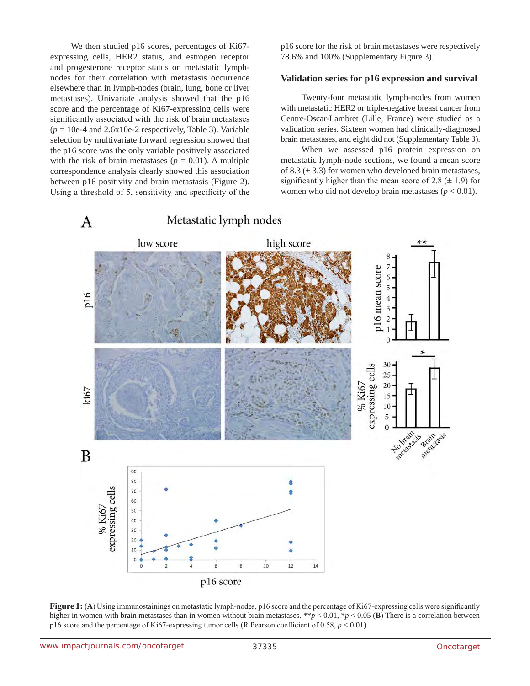We then studied p16 scores, percentages of Ki67 expressing cells, HER2 status, and estrogen receptor and progesterone receptor status on metastatic lymphnodes for their correlation with metastasis occurrence elsewhere than in lymph-nodes (brain, lung, bone or liver metastases). Univariate analysis showed that the p16 score and the percentage of Ki67-expressing cells were significantly associated with the risk of brain metastases  $(p = 10e-4$  and  $2.6x10e-2$  respectively, Table 3). Variable selection by multivariate forward regression showed that the p16 score was the only variable positively associated with the risk of brain metastases ( $p = 0.01$ ). A multiple correspondence analysis clearly showed this association between p16 positivity and brain metastasis (Figure 2). Using a threshold of 5, sensitivity and specificity of the p16 score for the risk of brain metastases were respectively 78.6% and 100% (Supplementary Figure 3).

#### **Validation series for p16 expression and survival**

Twenty-four metastatic lymph-nodes from women with metastatic HER2 or triple-negative breast cancer from Centre-Oscar-Lambret (Lille, France) were studied as a validation series. Sixteen women had clinically-diagnosed brain metastases, and eight did not (Supplementary Table 3).

When we assessed p16 protein expression on metastatic lymph-node sections, we found a mean score of 8.3  $(\pm 3.3)$  for women who developed brain metastases, significantly higher than the mean score of 2.8  $(\pm 1.9)$  for women who did not develop brain metastases ( $p < 0.01$ ).



**Figure 1:** (A) Using immunostainings on metastatic lymph-nodes, p16 score and the percentage of Ki67-expressing cells were significantly higher in women with brain metastases than in women without brain metastases. \*\**p* < 0.01, \**p* < 0.05 (**B**) There is a correlation between p16 score and the percentage of Ki67-expressing tumor cells (R Pearson coefficient of 0.58, *p* < 0.01).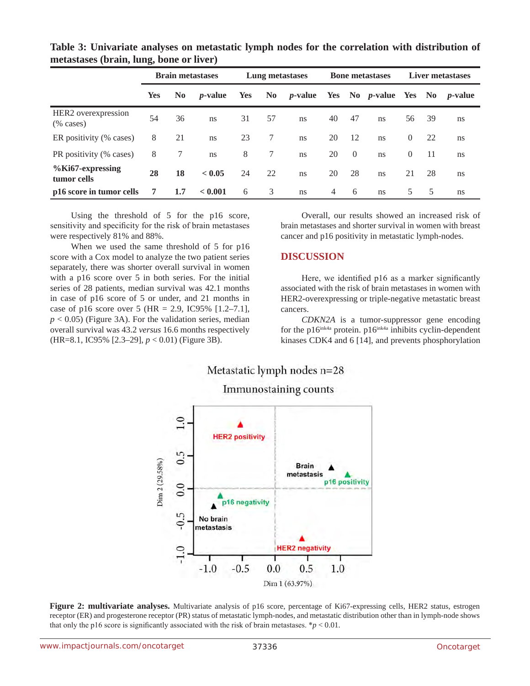|                                     | <b>Brain metastases</b> |                | Lung metastases |            | <b>Bone metastases</b> |                 |                | Liver metastases |                               |                |     |                 |
|-------------------------------------|-------------------------|----------------|-----------------|------------|------------------------|-----------------|----------------|------------------|-------------------------------|----------------|-----|-----------------|
|                                     | <b>Yes</b>              | N <sub>0</sub> | <i>p</i> -value | <b>Yes</b> | No 1                   | <i>p</i> -value |                |                  | Yes No <i>p</i> -value Yes No |                |     | <i>p</i> -value |
| HER2 overexpression<br>$(\%$ cases) | 54                      | 36             | <sub>ns</sub>   | 31         | 57                     | ns              | 40             | 47               | ns                            | 56             | 39  | ns              |
| ER positivity (% cases)             | 8                       | 21             | ns              | 23         | 7                      | ns              | 20             | -12              | ns                            | $\overline{0}$ | 22  | ns              |
| PR positivity (% cases)             | 8                       | 7              | ns              | 8          | 7                      | ns              | 20             | $\overline{0}$   | ns                            | $\overline{0}$ | -11 | ns              |
| %Ki67-expressing<br>tumor cells     | 28                      | 18             | < 0.05          | 24         | 22                     | ns              | 20             | 28               | ns                            | 21             | 28  | ns              |
| p16 score in tumor cells            | 7                       | 1.7            | < 0.001         | 6          | 3                      | <sub>ns</sub>   | $\overline{4}$ | 6                | ns                            | 5              | -5  | ns              |

**Table 3: Univariate analyses on metastatic lymph nodes for the correlation with distribution of metastases (brain, lung, bone or liver)**

Using the threshold of 5 for the p16 score, sensitivity and specificity for the risk of brain metastases were respectively 81% and 88%.

When we used the same threshold of 5 for p16 score with a Cox model to analyze the two patient series separately, there was shorter overall survival in women with a p16 score over 5 in both series. For the initial series of 28 patients, median survival was 42.1 months in case of p16 score of 5 or under, and 21 months in case of p16 score over 5 (HR = 2.9, IC95%  $[1.2-7.1]$ ,  $p < 0.05$ ) (Figure 3A). For the validation series, median overall survival was 43.2 *versus* 16.6 months respectively (HR=8.1, IC95% [2.3–29], *p* < 0.01) (Figure 3B).

Overall, our results showed an increased risk of brain metastases and shorter survival in women with breast cancer and p16 positivity in metastatic lymph-nodes.

# **DISCUSSION**

Here, we identified p16 as a marker significantly associated with the risk of brain metastases in women with HER2-overexpressing or triple-negative metastatic breast cancers.

*CDKN2A* is a tumor-suppressor gene encoding for the p16<sup>ink4a</sup> protein. p16<sup>ink4a</sup> inhibits cyclin-dependent kinases CDK4 and 6 [14], and prevents phosphorylation

# Metastatic lymph nodes n=28 Immunostaining counts



**Figure 2: multivariate analyses.** Multivariate analysis of p16 score, percentage of Ki67-expressing cells, HER2 status, estrogen receptor (ER) and progesterone receptor (PR) status of metastatic lymph-nodes, and metastatic distribution other than in lymph-node shows that only the p16 score is significantly associated with the risk of brain metastases.  $* p < 0.01$ .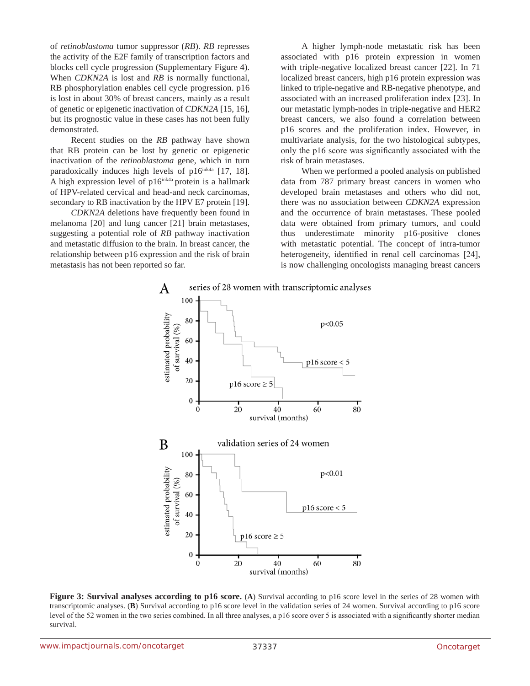of *retinoblastoma* tumor suppressor (*RB*). *RB* represses the activity of the E2F family of transcription factors and blocks cell cycle progression (Supplementary Figure 4). When *CDKN2A* is lost and *RB* is normally functional, RB phosphorylation enables cell cycle progression. p16 is lost in about 30% of breast cancers, mainly as a result of genetic or epigenetic inactivation of *CDKN2A* [15, 16], but its prognostic value in these cases has not been fully demonstrated.

Recent studies on the *RB* pathway have shown that RB protein can be lost by genetic or epigenetic inactivation of the *retinoblastoma* gene, which in turn paradoxically induces high levels of  $p16^{ink4a}$  [17, 18]. A high expression level of  $p16^{ink4a}$  protein is a hallmark of HPV-related cervical and head-and neck carcinomas, secondary to RB inactivation by the HPV E7 protein [19].

*CDKN2A* deletions have frequently been found in melanoma [20] and lung cancer [21] brain metastases, suggesting a potential role of *RB* pathway inactivation and metastatic diffusion to the brain. In breast cancer, the relationship between p16 expression and the risk of brain metastasis has not been reported so far.

A higher lymph-node metastatic risk has been associated with p16 protein expression in women with triple-negative localized breast cancer [22]. In 71 localized breast cancers, high p16 protein expression was linked to triple-negative and RB-negative phenotype, and associated with an increased proliferation index [23]. In our metastatic lymph-nodes in triple-negative and HER2 breast cancers, we also found a correlation between p16 scores and the proliferation index. However, in multivariate analysis, for the two histological subtypes, only the p16 score was significantly associated with the risk of brain metastases.

When we performed a pooled analysis on published data from 787 primary breast cancers in women who developed brain metastases and others who did not, there was no association between *CDKN2A* expression and the occurrence of brain metastases. These pooled data were obtained from primary tumors, and could thus underestimate minority p16-positive clones with metastatic potential. The concept of intra-tumor heterogeneity, identified in renal cell carcinomas [24], is now challenging oncologists managing breast cancers



**Figure 3: Survival analyses according to p16 score.** (A) Survival according to p16 score level in the series of 28 women with transcriptomic analyses. (**B**) Survival according to p16 score level in the validation series of 24 women. Survival according to p16 score level of the 52 women in the two series combined. In all three analyses, a p16 score over 5 is associated with a significantly shorter median survival.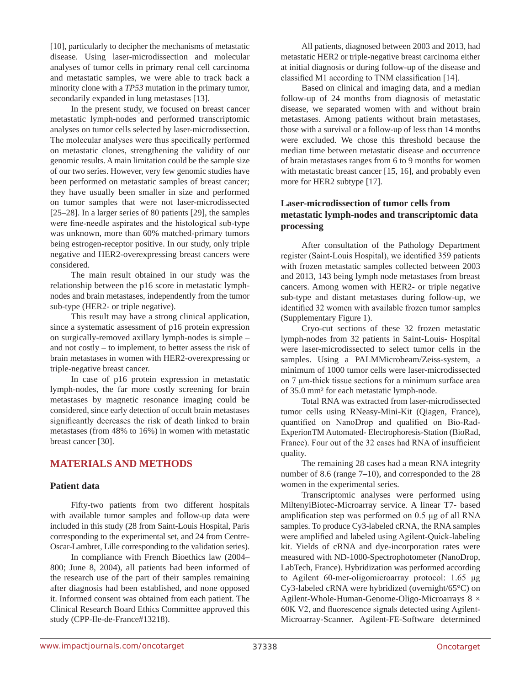[10], particularly to decipher the mechanisms of metastatic disease. Using laser-microdissection and molecular analyses of tumor cells in primary renal cell carcinoma and metastatic samples, we were able to track back a minority clone with a *TP53* mutation in the primary tumor, secondarily expanded in lung metastases [13].

In the present study, we focused on breast cancer metastatic lymph-nodes and performed transcriptomic analyses on tumor cells selected by laser-microdissection. The molecular analyses were thus specifically performed on metastatic clones, strengthening the validity of our genomic results. A main limitation could be the sample size of our two series. However, very few genomic studies have been performed on metastatic samples of breast cancer; they have usually been smaller in size and performed on tumor samples that were not laser-microdissected [25–28]. In a larger series of 80 patients [29], the samples were fine-needle aspirates and the histological sub-type was unknown, more than 60% matched-primary tumors being estrogen-receptor positive. In our study, only triple negative and HER2-overexpressing breast cancers were considered.

The main result obtained in our study was the relationship between the p16 score in metastatic lymphnodes and brain metastases, independently from the tumor sub-type (HER2- or triple negative).

This result may have a strong clinical application, since a systematic assessment of p16 protein expression on surgically-removed axillary lymph-nodes is simple – and not costly – to implement, to better assess the risk of brain metastases in women with HER2-overexpressing or triple-negative breast cancer.

In case of p16 protein expression in metastatic lymph-nodes, the far more costly screening for brain metastases by magnetic resonance imaging could be considered, since early detection of occult brain metastases significantly decreases the risk of death linked to brain metastases (from 48% to 16%) in women with metastatic breast cancer [30].

# **MATERIALS AND METHODS**

# **Patient data**

Fifty-two patients from two different hospitals with available tumor samples and follow-up data were included in this study (28 from Saint-Louis Hospital, Paris corresponding to the experimental set, and 24 from Centre-Oscar-Lambret, Lille corresponding to the validation series).

In compliance with French Bioethics law (2004– 800; June 8, 2004), all patients had been informed of the research use of the part of their samples remaining after diagnosis had been established, and none opposed it. Informed consent was obtained from each patient. The Clinical Research Board Ethics Committee approved this study (CPP-Ile-de-France#13218).

All patients, diagnosed between 2003 and 2013, had metastatic HER2 or triple-negative breast carcinoma either at initial diagnosis or during follow-up of the disease and classified M1 according to TNM classification [14].

Based on clinical and imaging data, and a median follow-up of 24 months from diagnosis of metastatic disease, we separated women with and without brain metastases. Among patients without brain metastases, those with a survival or a follow-up of less than 14 months were excluded. We chose this threshold because the median time between metastatic disease and occurrence of brain metastases ranges from 6 to 9 months for women with metastatic breast cancer [15, 16], and probably even more for HER2 subtype [17].

# **Laser-microdissection of tumor cells from metastatic lymph-nodes and transcriptomic data processing**

After consultation of the Pathology Department register (Saint-Louis Hospital), we identified 359 patients with frozen metastatic samples collected between 2003 and 2013, 143 being lymph node metastases from breast cancers. Among women with HER2- or triple negative sub-type and distant metastases during follow-up, we identified 32 women with available frozen tumor samples (Supplementary Figure 1).

Cryo-cut sections of these 32 frozen metastatic lymph-nodes from 32 patients in Saint-Louis- Hospital were laser-microdissected to select tumor cells in the samples. Using a PALMMicrobeam/Zeiss-system, a minimum of 1000 tumor cells were laser-microdissected on 7 μm-thick tissue sections for a minimum surface area of 35.0 mm² for each metastatic lymph-node.

Total RNA was extracted from laser-microdissected tumor cells using RNeasy-Mini-Kit (Qiagen, France), quantified on NanoDrop and qualified on Bio-Rad-ExperionTM Automated- Electrophoresis-Station (BioRad, France). Four out of the 32 cases had RNA of insufficient quality.

The remaining 28 cases had a mean RNA integrity number of 8.6 (range 7–10), and corresponded to the 28 women in the experimental series.

Transcriptomic analyses were performed using MiltenyiBiotec-Microarray service. A linear T7- based amplification step was performed on 0.5 μg of all RNA samples. To produce Cy3-labeled cRNA, the RNA samples were amplified and labeled using Agilent-Quick-labeling kit. Yields of cRNA and dye-incorporation rates were measured with ND-1000-Spectrophotometer (NanoDrop, LabTech, France). Hybridization was performed according to Agilent 60-mer-oligomicroarray protocol: 1.65 μg Cy3-labeled cRNA were hybridized (overnight/65°C) on Agilent-Whole-Human-Genome-Oligo-Microarrays  $8 \times$ 60K V2, and fluorescence signals detected using Agilent-Microarray-Scanner. Agilent-FE-Software determined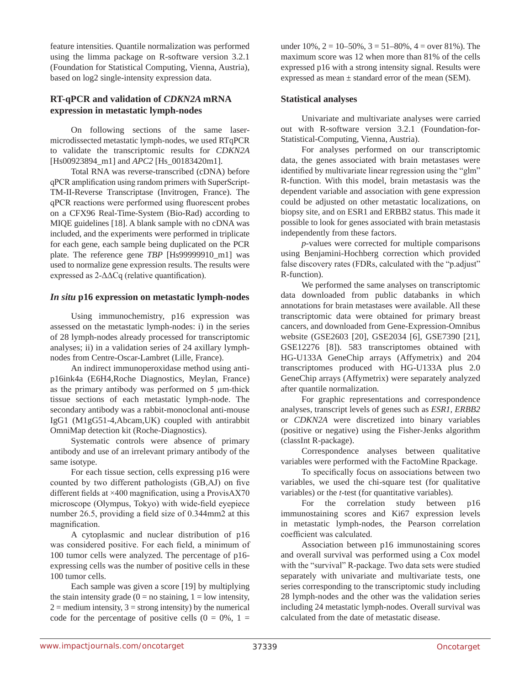feature intensities. Quantile normalization was performed using the limma package on R-software version 3.2.1 (Foundation for Statistical Computing, Vienna, Austria), based on log2 single-intensity expression data.

# **RT-qPCR and validation of** *CDKN2A* **mRNA expression in metastatic lymph-nodes**

On following sections of the same lasermicrodissected metastatic lymph-nodes, we used RTqPCR to validate the transcriptomic results for *CDKN2A*  [Hs00923894\_m1] and *APC2* [Hs\_00183420m1].

Total RNA was reverse-transcribed (cDNA) before qPCR amplification using random primers with SuperScript-TM-II-Reverse Transcriptase (Invitrogen, France). The qPCR reactions were performed using fluorescent probes on a CFX96 Real-Time-System (Bio-Rad) according to MIQE guidelines [18]. A blank sample with no cDNA was included, and the experiments were performed in triplicate for each gene, each sample being duplicated on the PCR plate. The reference gene *TBP* [Hs99999910\_m1] was used to normalize gene expression results. The results were expressed as 2-ΔΔCq (relative quantification).

# *In situ* **p16 expression on metastatic lymph-nodes**

Using immunochemistry, p16 expression was assessed on the metastatic lymph-nodes: i) in the series of 28 lymph-nodes already processed for transcriptomic analyses; ii) in a validation series of 24 axillary lymphnodes from Centre-Oscar-Lambret (Lille, France).

An indirect immunoperoxidase method using antip16ink4a (E6H4,Roche Diagnostics, Meylan, France) as the primary antibody was performed on 5 μm-thick tissue sections of each metastatic lymph-node. The secondary antibody was a rabbit-monoclonal anti-mouse IgG1 (M1gG51-4,Abcam,UK) coupled with antirabbit OmniMap detection kit (Roche-Diagnostics).

Systematic controls were absence of primary antibody and use of an irrelevant primary antibody of the same isotype.

For each tissue section, cells expressing p16 were counted by two different pathologists (GB,AJ) on five different fields at ×400 magnification, using a ProvisAX70 microscope (Olympus, Tokyo) with wide-field eyepiece number 26.5, providing a field size of 0.344mm2 at this magnification.

A cytoplasmic and nuclear distribution of p16 was considered positive. For each field, a minimum of 100 tumor cells were analyzed. The percentage of p16 expressing cells was the number of positive cells in these 100 tumor cells.

Each sample was given a score [19] by multiplying the stain intensity grade ( $0 = no$  staining,  $1 = low$  intensity,  $2 =$  medium intensity,  $3 =$  strong intensity) by the numerical code for the percentage of positive cells  $(0 = 0\%), 1 =$ 

under  $10\%, 2 = 10-50\%, 3 = 51-80\%, 4 =$  over 81%). The maximum score was 12 when more than 81% of the cells expressed p16 with a strong intensity signal. Results were expressed as mean  $\pm$  standard error of the mean (SEM).

# **Statistical analyses**

Univariate and multivariate analyses were carried out with R-software version 3.2.1 (Foundation-for-Statistical-Computing, Vienna, Austria).

For analyses performed on our transcriptomic data, the genes associated with brain metastases were identified by multivariate linear regression using the "glm" R-function. With this model, brain metastasis was the dependent variable and association with gene expression could be adjusted on other metastatic localizations, on biopsy site, and on ESR1 and ERBB2 status. This made it possible to look for genes associated with brain metastasis independently from these factors.

*p*-values were corrected for multiple comparisons using Benjamini-Hochberg correction which provided false discovery rates (FDRs, calculated with the "p.adjust" R-function).

We performed the same analyses on transcriptomic data downloaded from public databanks in which annotations for brain metastases were available. All these transcriptomic data were obtained for primary breast cancers, and downloaded from Gene-Expression-Omnibus website (GSE2603 [20], GSE2034 [6], GSE7390 [21], GSE12276 [8]). 583 transcriptomes obtained with HG-U133A GeneChip arrays (Affymetrix) and 204 transcriptomes produced with HG-U133A plus 2.0 GeneChip arrays (Affymetrix) were separately analyzed after quantile normalization.

For graphic representations and correspondence analyses, transcript levels of genes such as *ESR1*, *ERBB2*  or *CDKN2A* were discretized into binary variables (positive or negative) using the Fisher-Jenks algorithm (classInt R-package).

Correspondence analyses between qualitative variables were performed with the FactoMine Rpackage.

To specifically focus on associations between two variables, we used the chi-square test (for qualitative variables) or the *t*-test (for quantitative variables).

For the correlation study between p16 immunostaining scores and Ki67 expression levels in metastatic lymph-nodes, the Pearson correlation coefficient was calculated.

Association between p16 immunostaining scores and overall survival was performed using a Cox model with the "survival" R-package. Two data sets were studied separately with univariate and multivariate tests, one series corresponding to the transcriptomic study including 28 lymph-nodes and the other was the validation series including 24 metastatic lymph-nodes. Overall survival was calculated from the date of metastatic disease.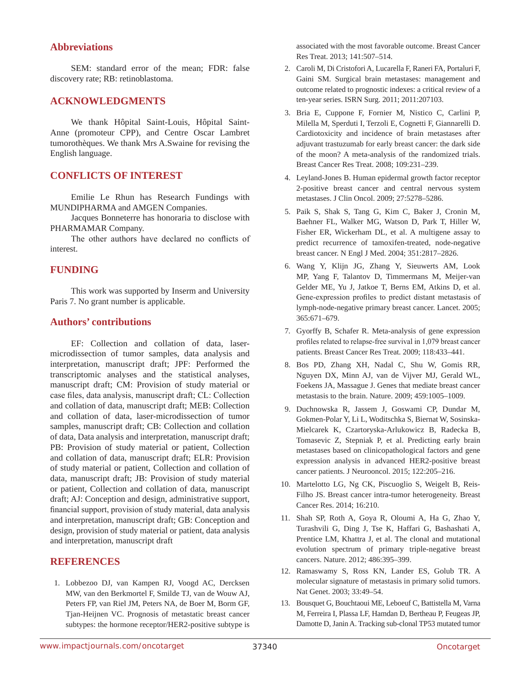# **Abbreviations**

SEM: standard error of the mean; FDR: false discovery rate; RB: retinoblastoma.

# **ACKNOWLEDGMENTS**

We thank Hôpital Saint-Louis, Hôpital Saint-Anne (promoteur CPP), and Centre Oscar Lambret tumorothèques. We thank Mrs A.Swaine for revising the English language.

# **CONFLICTS OF INTEREST**

Emilie Le Rhun has Research Fundings with MUNDIPHARMA and AMGEN Companies.

Jacques Bonneterre has honoraria to disclose with PHARMAMAR Company.

The other authors have declared no conflicts of interest.

# **FUNDING**

This work was supported by Inserm and University Paris 7. No grant number is applicable.

# **Authors' contributions**

EF: Collection and collation of data, lasermicrodissection of tumor samples, data analysis and interpretation, manuscript draft; JPF: Performed the transcriptomic analyses and the statistical analyses, manuscript draft; CM: Provision of study material or case files, data analysis, manuscript draft; CL: Collection and collation of data, manuscript draft; MEB: Collection and collation of data, laser-microdissection of tumor samples, manuscript draft; CB: Collection and collation of data, Data analysis and interpretation, manuscript draft; PB: Provision of study material or patient, Collection and collation of data, manuscript draft; ELR: Provision of study material or patient, Collection and collation of data, manuscript draft; JB: Provision of study material or patient, Collection and collation of data, manuscript draft; AJ: Conception and design, administrative support, financial support, provision of study material, data analysis and interpretation, manuscript draft; GB: Conception and design, provision of study material or patient, data analysis and interpretation, manuscript draft

# **REFERENCES**

1. Lobbezoo DJ, van Kampen RJ, Voogd AC, Dercksen MW, van den Berkmortel F, Smilde TJ, van de Wouw AJ, Peters FP, van Riel JM, Peters NA, de Boer M, Borm GF, Tjan-Heijnen VC. Prognosis of metastatic breast cancer subtypes: the hormone receptor/HER2-positive subtype is associated with the most favorable outcome. Breast Cancer Res Treat. 2013; 141:507–514.

- 2. Caroli M, Di Cristofori A, Lucarella F, Raneri FA, Portaluri F, Gaini SM. Surgical brain metastases: management and outcome related to prognostic indexes: a critical review of a ten-year series. ISRN Surg. 2011; 2011:207103.
- 3. Bria E, Cuppone F, Fornier M, Nistico C, Carlini P, Milella M, Sperduti I, Terzoli E, Cognetti F, Giannarelli D. Cardiotoxicity and incidence of brain metastases after adjuvant trastuzumab for early breast cancer: the dark side of the moon? A meta-analysis of the randomized trials. Breast Cancer Res Treat. 2008; 109:231–239.
- 4. Leyland-Jones B. Human epidermal growth factor receptor 2-positive breast cancer and central nervous system metastases. J Clin Oncol. 2009; 27:5278–5286.
- 5. Paik S, Shak S, Tang G, Kim C, Baker J, Cronin M, Baehner FL, Walker MG, Watson D, Park T, Hiller W, Fisher ER, Wickerham DL, et al. A multigene assay to predict recurrence of tamoxifen-treated, node-negative breast cancer. N Engl J Med. 2004; 351:2817–2826.
- 6. Wang Y, Klijn JG, Zhang Y, Sieuwerts AM, Look MP, Yang F, Talantov D, Timmermans M, Meijer-van Gelder ME, Yu J, Jatkoe T, Berns EM, Atkins D, et al. Gene-expression profiles to predict distant metastasis of lymph-node-negative primary breast cancer. Lancet. 2005; 365:671–679.
- 7. Gyorffy B, Schafer R. Meta-analysis of gene expression profiles related to relapse-free survival in 1,079 breast cancer patients. Breast Cancer Res Treat. 2009; 118:433–441.
- 8. Bos PD, Zhang XH, Nadal C, Shu W, Gomis RR, Nguyen DX, Minn AJ, van de Vijver MJ, Gerald WL, Foekens JA, Massague J. Genes that mediate breast cancer metastasis to the brain. Nature. 2009; 459:1005–1009.
- 9. Duchnowska R, Jassem J, Goswami CP, Dundar M, Gokmen-Polar Y, Li L, Woditschka S, Biernat W, Sosinska-Mielcarek K, Czartoryska-Arlukowicz B, Radecka B, Tomasevic Z, Stepniak P, et al. Predicting early brain metastases based on clinicopathological factors and gene expression analysis in advanced HER2-positive breast cancer patients. J Neurooncol. 2015; 122:205–216.
- 10. Martelotto LG, Ng CK, Piscuoglio S, Weigelt B, Reis-Filho JS. Breast cancer intra-tumor heterogeneity. Breast Cancer Res. 2014; 16:210.
- 11. Shah SP, Roth A, Goya R, Oloumi A, Ha G, Zhao Y, Turashvili G, Ding J, Tse K, Haffari G, Bashashati A, Prentice LM, Khattra J, et al. The clonal and mutational evolution spectrum of primary triple-negative breast cancers. Nature. 2012; 486:395–399.
- 12. Ramaswamy S, Ross KN, Lander ES, Golub TR. A molecular signature of metastasis in primary solid tumors. Nat Genet. 2003; 33:49–54.
- 13. Bousquet G, Bouchtaoui ME, Leboeuf C, Battistella M, Varna M, Ferreira I, Plassa LF, Hamdan D, Bertheau P, Feugeas JP, Damotte D, Janin A. Tracking sub-clonal TP53 mutated tumor